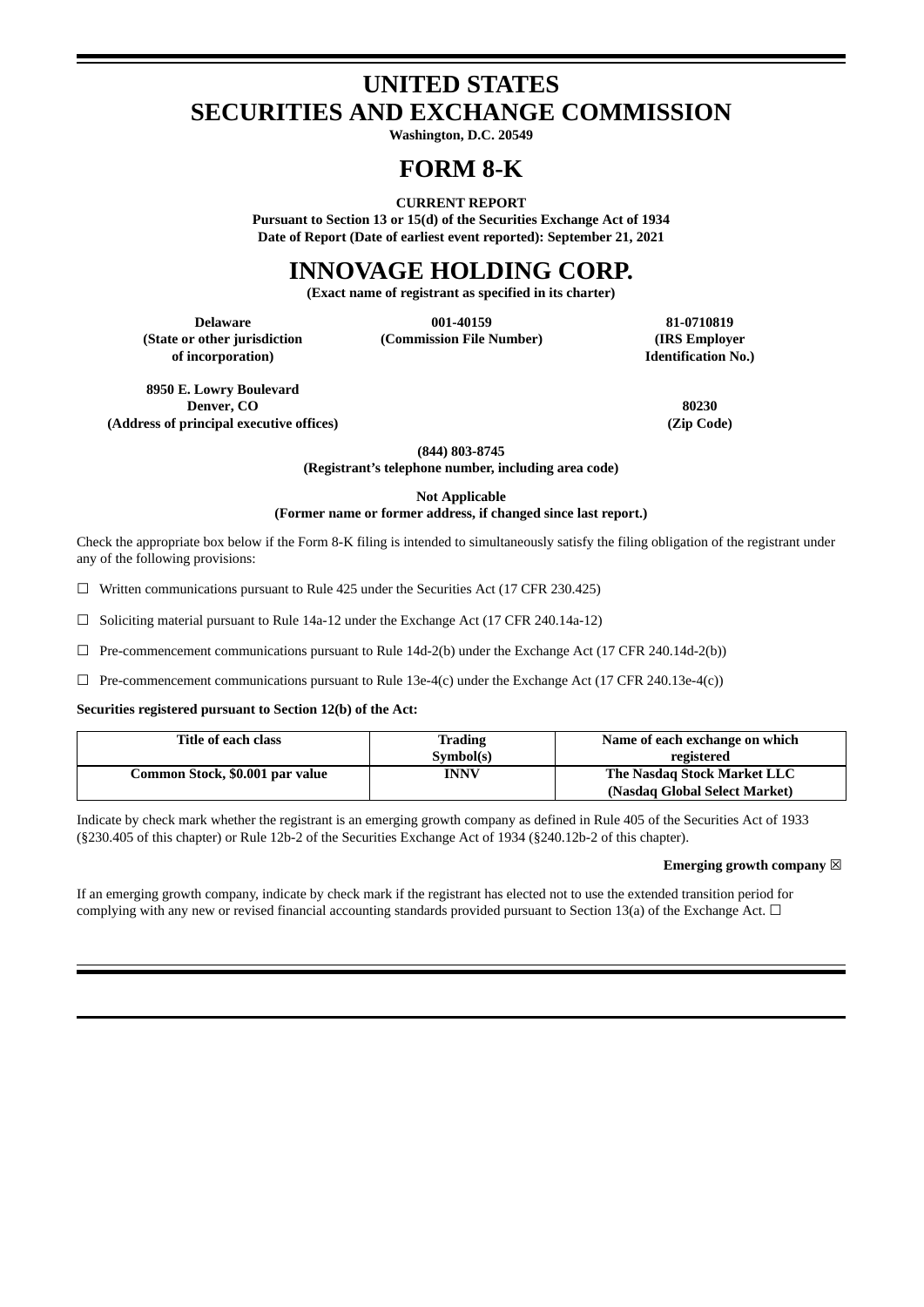# **UNITED STATES SECURITIES AND EXCHANGE COMMISSION**

**Washington, D.C. 20549**

# **FORM 8-K**

**CURRENT REPORT**

**Pursuant to Section 13 or 15(d) of the Securities Exchange Act of 1934 Date of Report (Date of earliest event reported): September 21, 2021**

# **INNOVAGE HOLDING CORP.**

**(Exact name of registrant as specified in its charter)**

**(State or other jurisdiction of incorporation)**

**Delaware 001-40159 81-0710819 (Commission File Number) (IRS Employer**

**Identification No.)**

**8950 E. Lowry Boulevard Denver, CO 80230 (Address of principal executive offices) (Zip Code)**

**(844) 803-8745**

**(Registrant's telephone number, including area code)**

**Not Applicable**

**(Former name or former address, if changed since last report.)**

Check the appropriate box below if the Form 8-K filing is intended to simultaneously satisfy the filing obligation of the registrant under any of the following provisions:

 $\Box$  Written communications pursuant to Rule 425 under the Securities Act (17 CFR 230.425)

 $\Box$  Soliciting material pursuant to Rule 14a-12 under the Exchange Act (17 CFR 240.14a-12)

 $\Box$  Pre-commencement communications pursuant to Rule 14d-2(b) under the Exchange Act (17 CFR 240.14d-2(b))

 $\Box$  Pre-commencement communications pursuant to Rule 13e-4(c) under the Exchange Act (17 CFR 240.13e-4(c))

**Securities registered pursuant to Section 12(b) of the Act:**

| Title of each class             | <b>Trading</b> | Name of each exchange on which |
|---------------------------------|----------------|--------------------------------|
|                                 | Symbol(s)      | registered                     |
| Common Stock, \$0.001 par value | <b>INNV</b>    | The Nasdag Stock Market LLC    |
|                                 |                | (Nasdaq Global Select Market)  |

Indicate by check mark whether the registrant is an emerging growth company as defined in Rule 405 of the Securities Act of 1933 (§230.405 of this chapter) or Rule 12b-2 of the Securities Exchange Act of 1934 (§240.12b-2 of this chapter).

#### **Emerging growth company** ☒

If an emerging growth company, indicate by check mark if the registrant has elected not to use the extended transition period for complying with any new or revised financial accounting standards provided pursuant to Section 13(a) of the Exchange Act.  $\Box$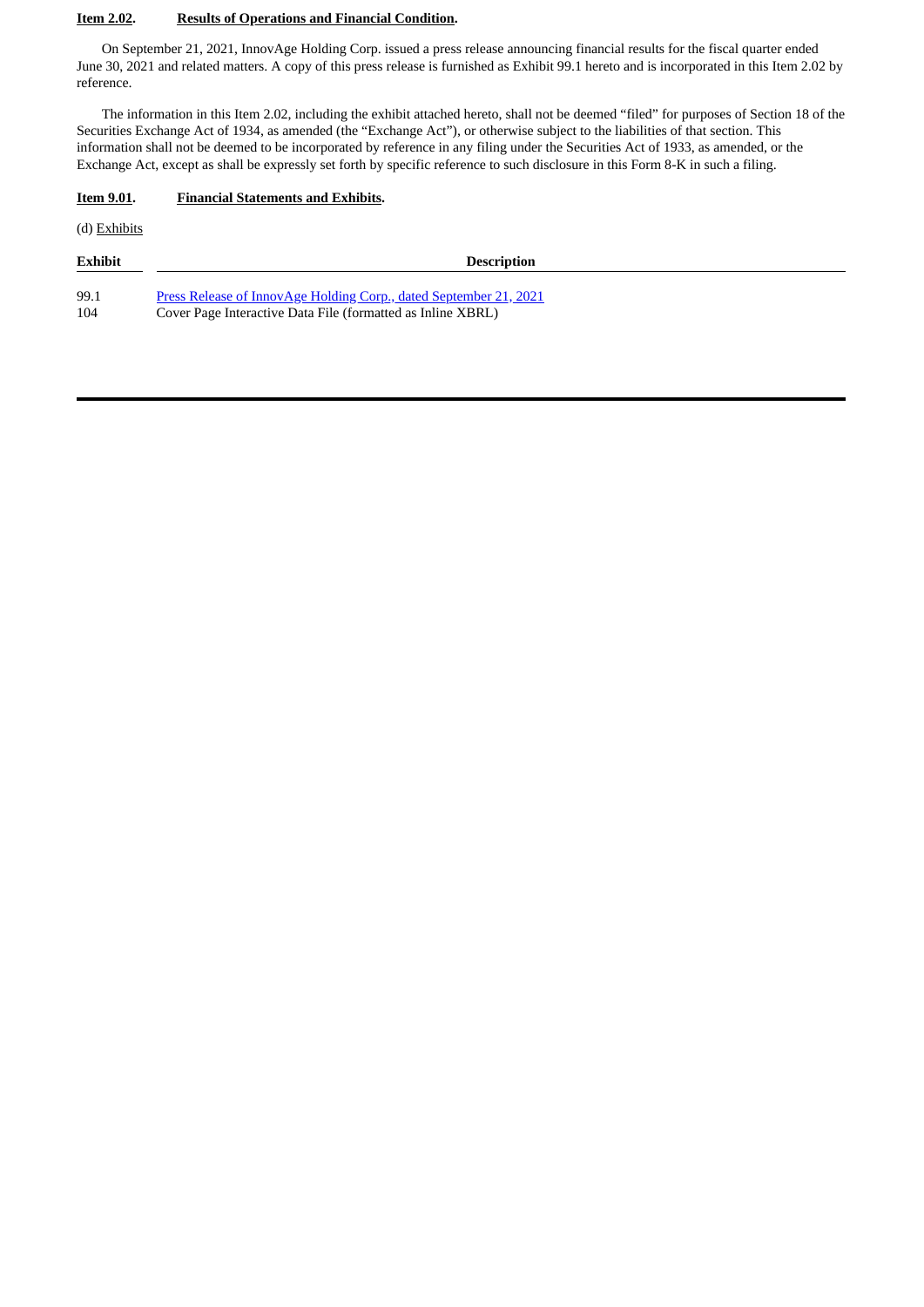#### **Item 2.02. Results of Operations and Financial Condition.**

On September 21, 2021, InnovAge Holding Corp. issued a press release announcing financial results for the fiscal quarter ended June 30, 2021 and related matters. A copy of this press release is furnished as Exhibit 99.1 hereto and is incorporated in this Item 2.02 by reference.

The information in this Item 2.02, including the exhibit attached hereto, shall not be deemed "filed" for purposes of Section 18 of the Securities Exchange Act of 1934, as amended (the "Exchange Act"), or otherwise subject to the liabilities of that section. This information shall not be deemed to be incorporated by reference in any filing under the Securities Act of 1933, as amended, or the Exchange Act, except as shall be expressly set forth by specific reference to such disclosure in this Form 8-K in such a filing.

#### **Item 9.01. Financial Statements and Exhibits.**

(d) Exhibits

| <b>Exhibit</b> | <b>Description</b>                                                |
|----------------|-------------------------------------------------------------------|
| 99.1           | Press Release of InnovAge Holding Corp., dated September 21, 2021 |
| 104            | Cover Page Interactive Data File (formatted as Inline XBRL)       |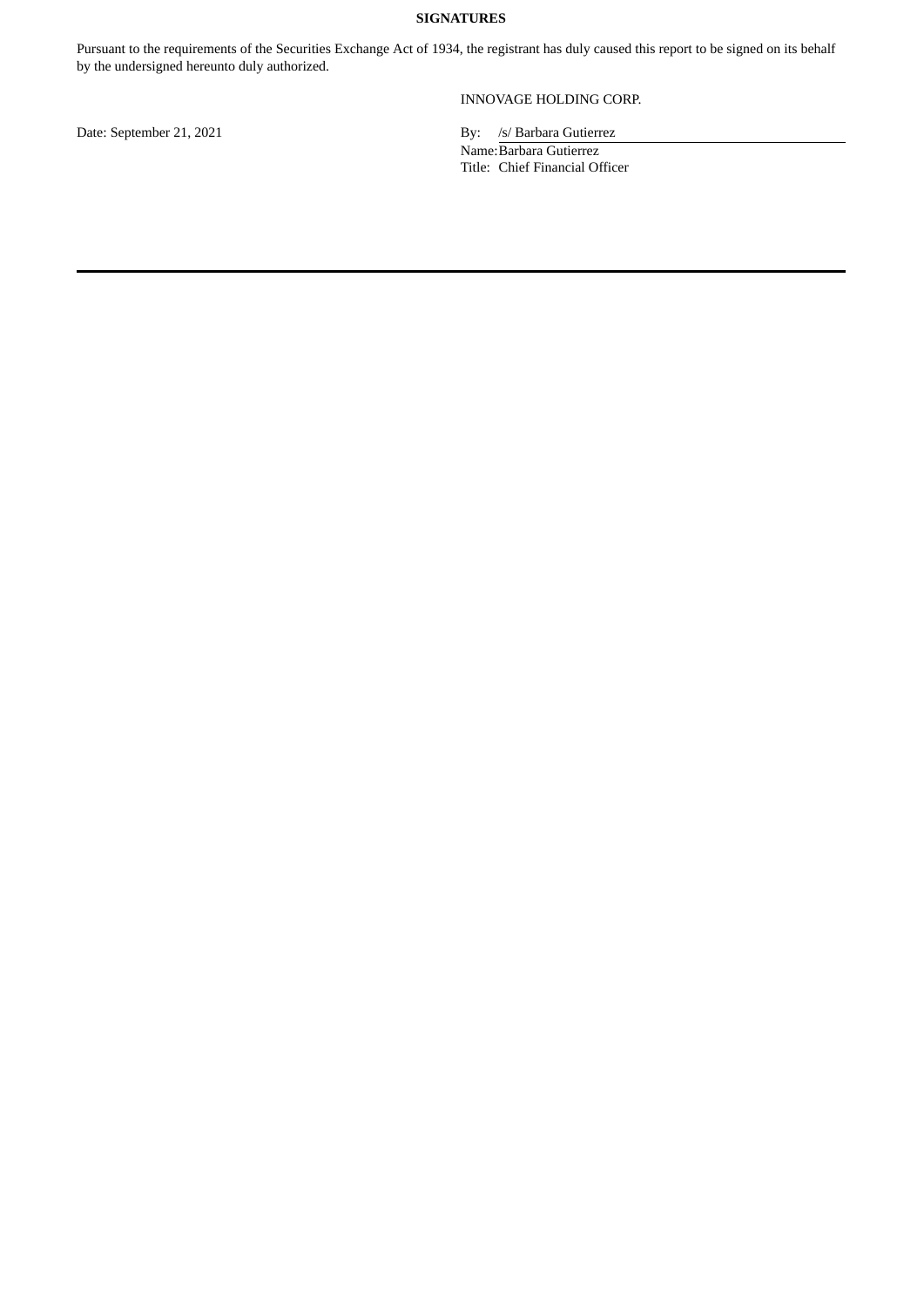#### **SIGNATURES**

Pursuant to the requirements of the Securities Exchange Act of 1934, the registrant has duly caused this report to be signed on its behalf by the undersigned hereunto duly authorized.

INNOVAGE HOLDING CORP.

Date: September 21, 2021 By: /s/ Barbara Gutierrez Name: Barbara Gutierrez Title: Chief Financial Officer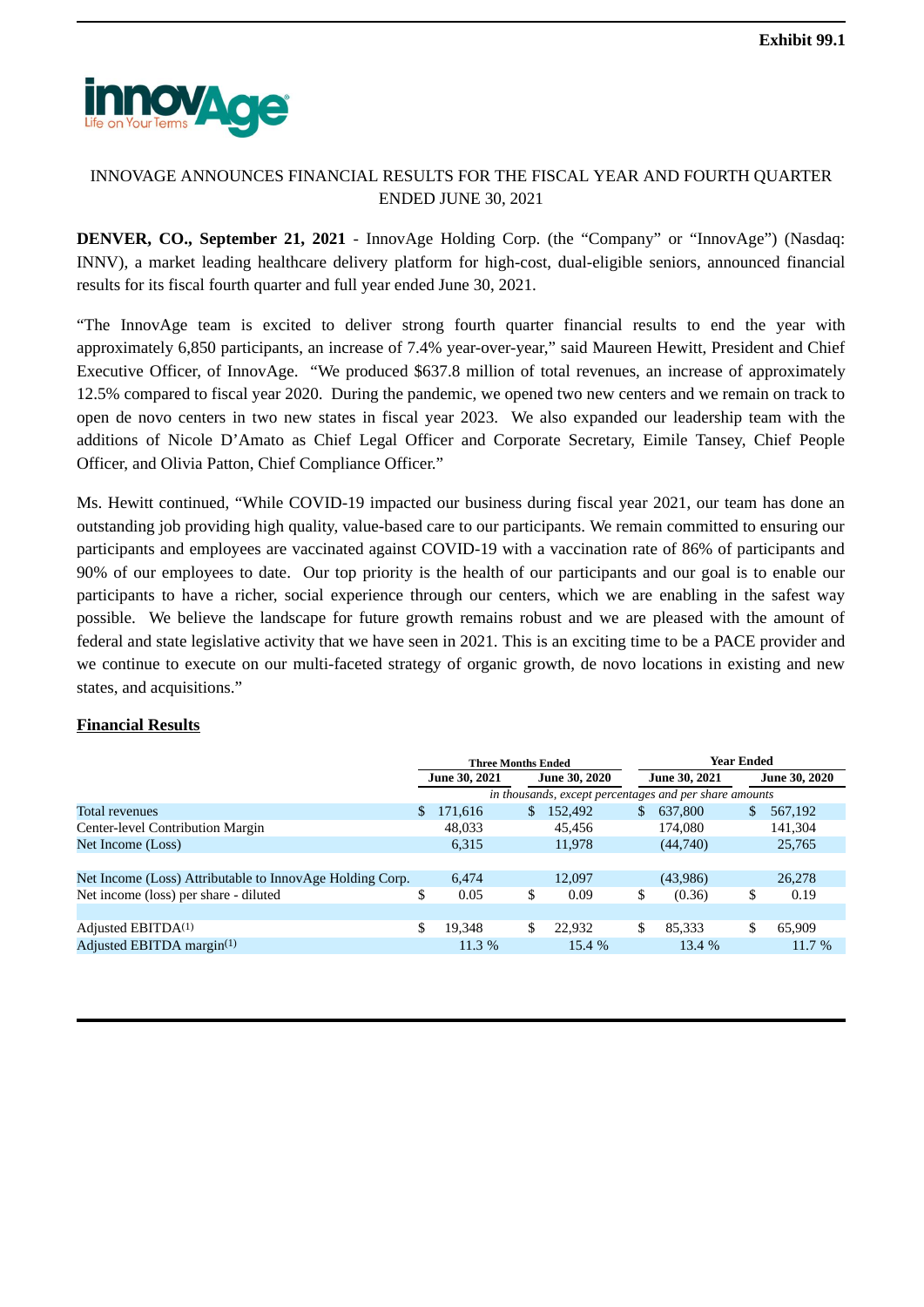<span id="page-3-0"></span>

# INNOVAGE ANNOUNCES FINANCIAL RESULTS FOR THE FISCAL YEAR AND FOURTH QUARTER ENDED JUNE 30, 2021

**DENVER, CO., September 21, 2021** - InnovAge Holding Corp. (the "Company" or "InnovAge") (Nasdaq: INNV), a market leading healthcare delivery platform for high-cost, dual-eligible seniors, announced financial results for its fiscal fourth quarter and full year ended June 30, 2021.

"The InnovAge team is excited to deliver strong fourth quarter financial results to end the year with approximately 6,850 participants, an increase of 7.4% year-over-year," said Maureen Hewitt, President and Chief Executive Officer, of InnovAge. "We produced \$637.8 million of total revenues, an increase of approximately 12.5% compared to fiscal year 2020. During the pandemic, we opened two new centers and we remain on track to open de novo centers in two new states in fiscal year 2023. We also expanded our leadership team with the additions of Nicole D'Amato as Chief Legal Officer and Corporate Secretary, Eimile Tansey, Chief People Officer, and Olivia Patton, Chief Compliance Officer."

Ms. Hewitt continued, "While COVID-19 impacted our business during fiscal year 2021, our team has done an outstanding job providing high quality, value-based care to our participants. We remain committed to ensuring our participants and employees are vaccinated against COVID-19 with a vaccination rate of 86% of participants and 90% of our employees to date. Our top priority is the health of our participants and our goal is to enable our participants to have a richer, social experience through our centers, which we are enabling in the safest way possible. We believe the landscape for future growth remains robust and we are pleased with the amount of federal and state legislative activity that we have seen in 2021. This is an exciting time to be a PACE provider and we continue to execute on our multi-faceted strategy of organic growth, de novo locations in existing and new states, and acquisitions."

### **Financial Results**

|                                                          | <b>Three Months Ended</b> |          |                      |                                                        | <b>Year Ended</b>    |    |                      |  |
|----------------------------------------------------------|---------------------------|----------|----------------------|--------------------------------------------------------|----------------------|----|----------------------|--|
|                                                          | <b>June 30, 2021</b>      |          | <b>June 30, 2020</b> |                                                        | <b>June 30, 2021</b> |    | <b>June 30, 2020</b> |  |
|                                                          |                           |          |                      | in thousands, except percentages and per share amounts |                      |    |                      |  |
| Total revenues                                           | $\mathbb{S}$              | 171,616  | \$                   | 152,492                                                | \$<br>637,800        | \$ | 567,192              |  |
| Center-level Contribution Margin                         |                           | 48,033   |                      | 45.456                                                 | 174.080              |    | 141,304              |  |
| Net Income (Loss)                                        |                           | 6,315    |                      | 11,978                                                 | (44,740)             |    | 25,765               |  |
|                                                          |                           |          |                      |                                                        |                      |    |                      |  |
| Net Income (Loss) Attributable to InnovAge Holding Corp. |                           | 6,474    |                      | 12,097                                                 | (43,986)             |    | 26,278               |  |
| Net income (loss) per share - diluted                    |                           | 0.05     | \$                   | 0.09                                                   | \$<br>(0.36)         | \$ | 0.19                 |  |
|                                                          |                           |          |                      |                                                        |                      |    |                      |  |
| Adjusted EBITDA <sup>(1)</sup>                           | S                         | 19.348   | \$                   | 22,932                                                 | \$<br>85,333         | \$ | 65,909               |  |
| Adjusted EBITDA margin(1)                                |                           | $11.3\%$ |                      | 15.4%                                                  | 13.4 %               |    | 11.7 %               |  |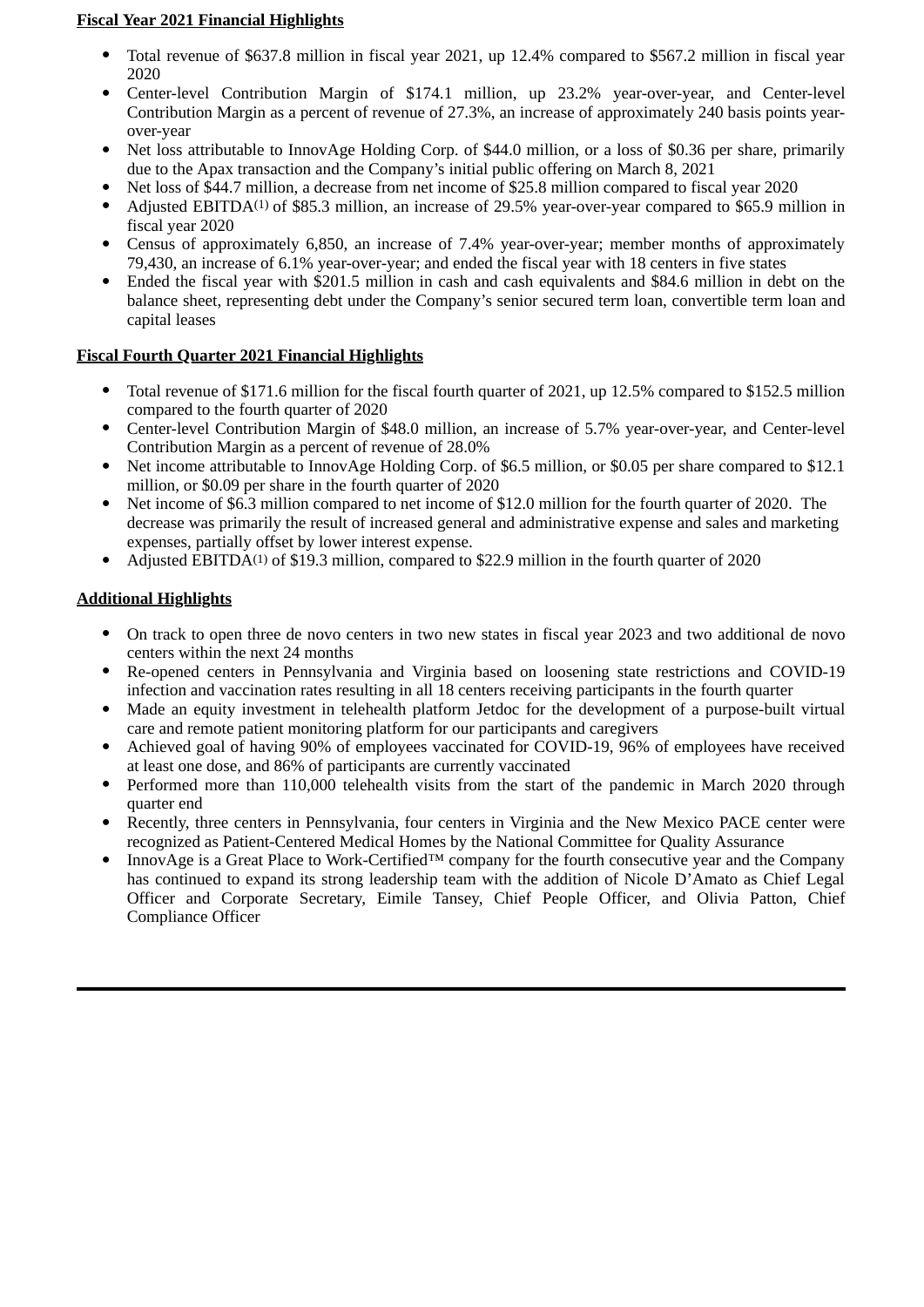# **Fiscal Year 2021 Financial Highlights**

- Total revenue of \$637.8 million in fiscal year 2021, up 12.4% compared to \$567.2 million in fiscal year 2020
- Center-level Contribution Margin of \$174.1 million, up 23.2% year-over-year, and Center-level Contribution Margin as a percent of revenue of 27.3%, an increase of approximately 240 basis points yearover-year
- Net loss attributable to InnovAge Holding Corp. of \$44.0 million, or a loss of \$0.36 per share, primarily due to the Apax transaction and the Company's initial public offering on March 8, 2021
- Net loss of \$44.7 million, a decrease from net income of \$25.8 million compared to fiscal year 2020
- Adjusted EBITDA<sup>(1)</sup> of \$85.3 million, an increase of 29.5% year-over-year compared to \$65.9 million in fiscal year 2020
- Census of approximately 6,850, an increase of 7.4% year-over-year; member months of approximately 79,430, an increase of 6.1% year-over-year; and ended the fiscal year with 18 centers in five states
- Ended the fiscal year with \$201.5 million in cash and cash equivalents and \$84.6 million in debt on the balance sheet, representing debt under the Company's senior secured term loan, convertible term loan and capital leases

# **Fiscal Fourth Quarter 2021 Financial Highlights**

- Total revenue of \$171.6 million for the fiscal fourth quarter of 2021, up 12.5% compared to \$152.5 million compared to the fourth quarter of 2020
- Center-level Contribution Margin of \$48.0 million, an increase of 5.7% year-over-year, and Center-level Contribution Margin as a percent of revenue of 28.0%
- Net income attributable to InnovAge Holding Corp. of \$6.5 million, or \$0.05 per share compared to \$12.1 million, or \$0.09 per share in the fourth quarter of 2020
- Net income of \$6.3 million compared to net income of \$12.0 million for the fourth quarter of 2020. The decrease was primarily the result of increased general and administrative expense and sales and marketing expenses, partially offset by lower interest expense.
- Adjusted EBITDA<sup>(1)</sup> of \$19.3 million, compared to \$22.9 million in the fourth quarter of 2020

# **Additional Highlights**

- On track to open three de novo centers in two new states in fiscal year 2023 and two additional de novo centers within the next 24 months
- Re-opened centers in Pennsylvania and Virginia based on loosening state restrictions and COVID-19 infection and vaccination rates resulting in all 18 centers receiving participants in the fourth quarter
- Made an equity investment in telehealth platform Jetdoc for the development of a purpose-built virtual care and remote patient monitoring platform for our participants and caregivers
- Achieved goal of having 90% of employees vaccinated for COVID-19, 96% of employees have received at least one dose, and 86% of participants are currently vaccinated
- Performed more than 110,000 telehealth visits from the start of the pandemic in March 2020 through quarter end
- Recently, three centers in Pennsylvania, four centers in Virginia and the New Mexico PACE center were recognized as Patient-Centered Medical Homes by the National Committee for Quality Assurance
- InnovAge is a Great Place to Work-Certified™ company for the fourth consecutive year and the Company has continued to expand its strong leadership team with the addition of Nicole D'Amato as Chief Legal Officer and Corporate Secretary, Eimile Tansey, Chief People Officer, and Olivia Patton, Chief Compliance Officer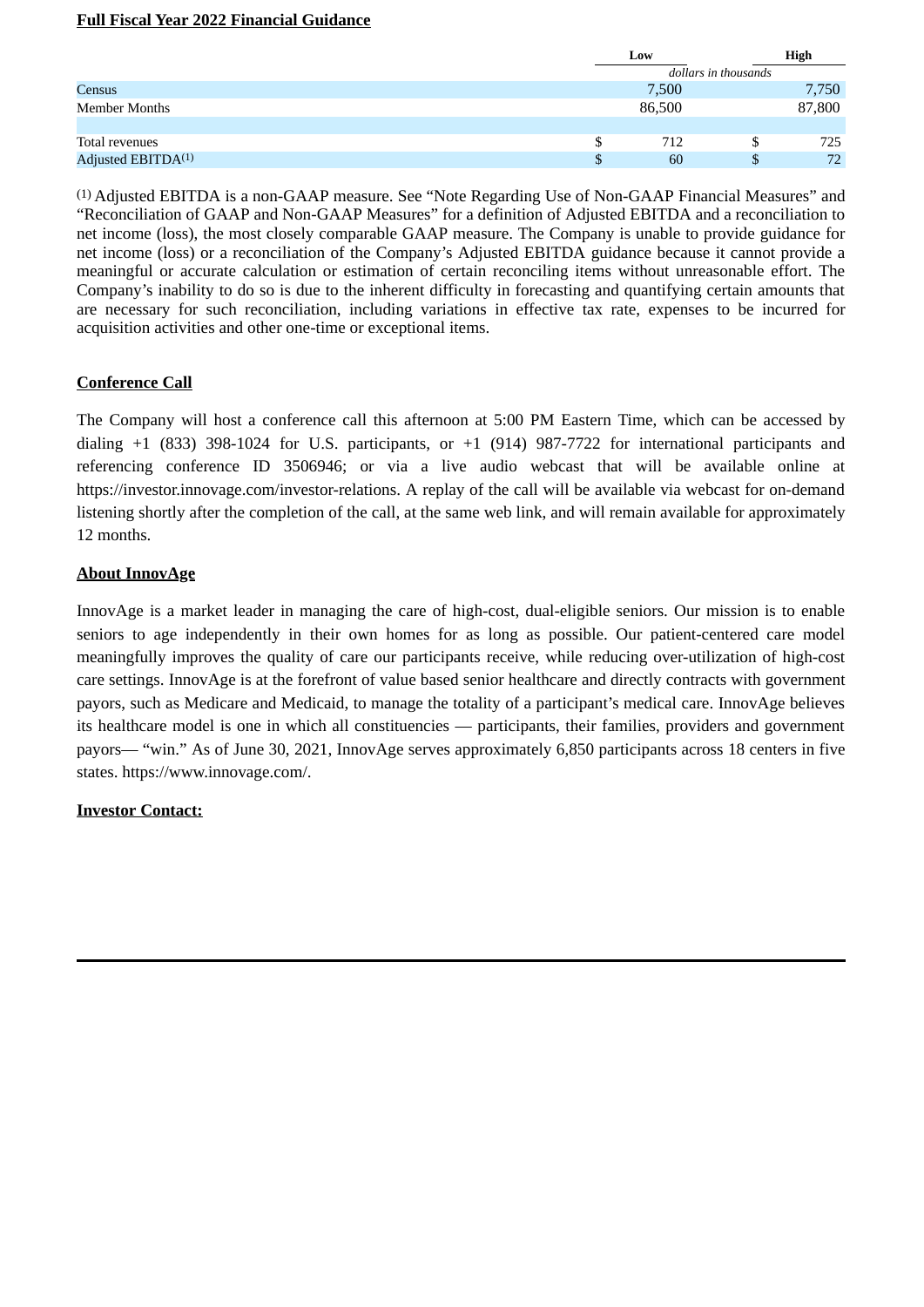### **Full Fiscal Year 2022 Financial Guidance**

|                                | Low    |                      | High   |  |  |
|--------------------------------|--------|----------------------|--------|--|--|
|                                |        | dollars in thousands |        |  |  |
| Census                         | 7,500  |                      | 7,750  |  |  |
| <b>Member Months</b>           | 86,500 |                      | 87,800 |  |  |
|                                |        |                      |        |  |  |
| Total revenues                 | 712    |                      | 725    |  |  |
| Adjusted EBITDA <sup>(1)</sup> | 60     |                      | 72     |  |  |

(1) Adjusted EBITDA is a non-GAAP measure. See "Note Regarding Use of Non-GAAP Financial Measures" and "Reconciliation of GAAP and Non-GAAP Measures" for a definition of Adjusted EBITDA and a reconciliation to net income (loss), the most closely comparable GAAP measure. The Company is unable to provide guidance for net income (loss) or a reconciliation of the Company's Adjusted EBITDA guidance because it cannot provide a meaningful or accurate calculation or estimation of certain reconciling items without unreasonable effort. The Company's inability to do so is due to the inherent difficulty in forecasting and quantifying certain amounts that are necessary for such reconciliation, including variations in effective tax rate, expenses to be incurred for acquisition activities and other one-time or exceptional items.

## **Conference Call**

The Company will host a conference call this afternoon at 5:00 PM Eastern Time, which can be accessed by dialing +1 (833) 398-1024 for U.S. participants, or +1 (914) 987-7722 for international participants and referencing conference ID 3506946; or via a live audio webcast that will be available online at https://investor.innovage.com/investor-relations. A replay of the call will be available via webcast for on-demand listening shortly after the completion of the call, at the same web link, and will remain available for approximately 12 months.

## **About InnovAge**

InnovAge is a market leader in managing the care of high-cost, dual-eligible seniors. Our mission is to enable seniors to age independently in their own homes for as long as possible. Our patient-centered care model meaningfully improves the quality of care our participants receive, while reducing over-utilization of high-cost care settings. InnovAge is at the forefront of value based senior healthcare and directly contracts with government payors, such as Medicare and Medicaid, to manage the totality of a participant's medical care. InnovAge believes its healthcare model is one in which all constituencies — participants, their families, providers and government payors— "win." As of June 30, 2021, InnovAge serves approximately 6,850 participants across 18 centers in five states. https://www.innovage.com/.

### **Investor Contact:**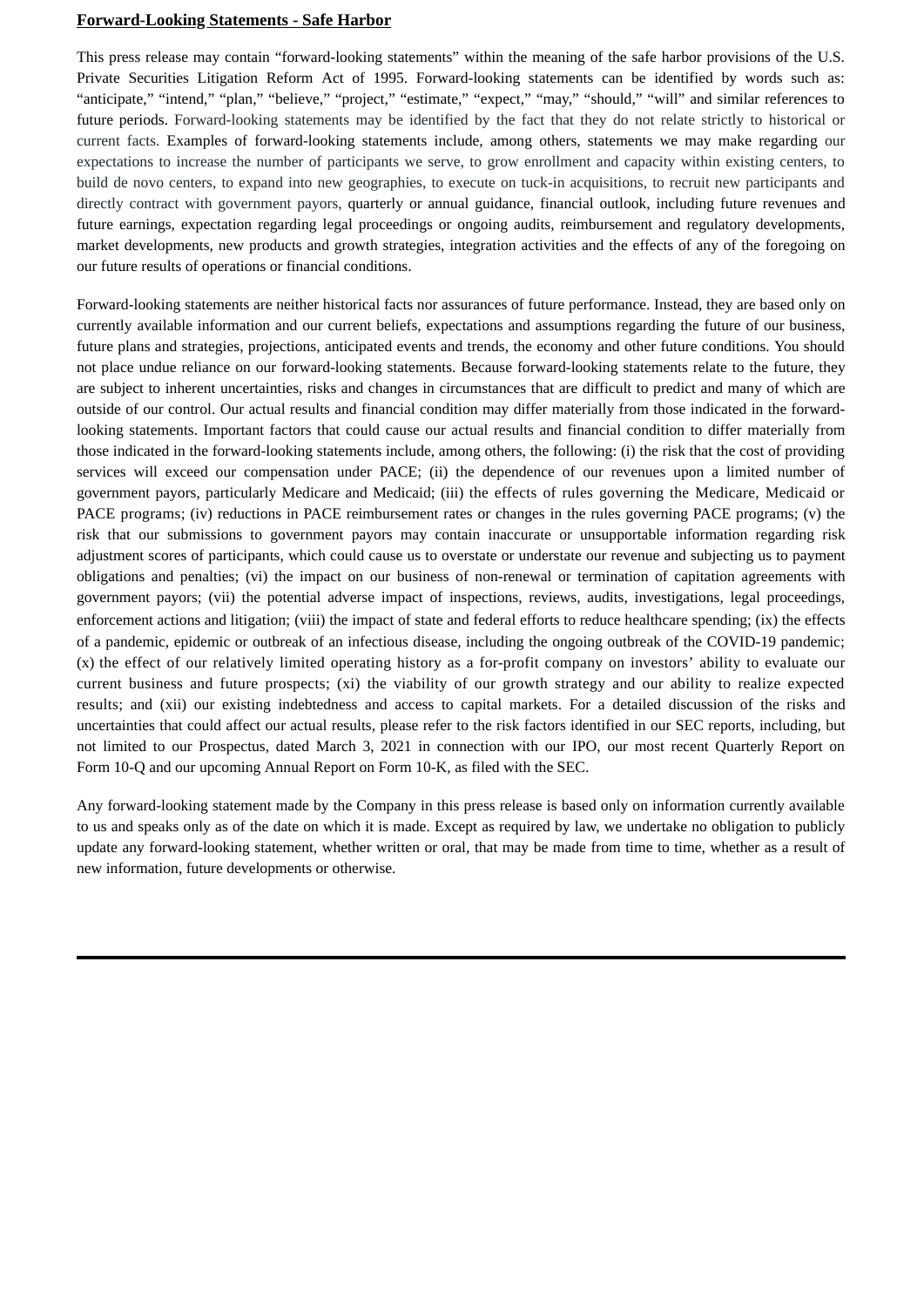#### **Forward-Looking Statements - Safe Harbor**

This press release may contain "forward-looking statements" within the meaning of the safe harbor provisions of the U.S. Private Securities Litigation Reform Act of 1995. Forward-looking statements can be identified by words such as: "anticipate," "intend," "plan," "believe," "project," "estimate," "expect," "may," "should," "will" and similar references to future periods. Forward-looking statements may be identified by the fact that they do not relate strictly to historical or current facts. Examples of forward-looking statements include, among others, statements we may make regarding our expectations to increase the number of participants we serve, to grow enrollment and capacity within existing centers, to build de novo centers, to expand into new geographies, to execute on tuck-in acquisitions, to recruit new participants and directly contract with government payors, quarterly or annual guidance, financial outlook, including future revenues and future earnings, expectation regarding legal proceedings or ongoing audits, reimbursement and regulatory developments, market developments, new products and growth strategies, integration activities and the effects of any of the foregoing on our future results of operations or financial conditions.

Forward-looking statements are neither historical facts nor assurances of future performance. Instead, they are based only on currently available information and our current beliefs, expectations and assumptions regarding the future of our business, future plans and strategies, projections, anticipated events and trends, the economy and other future conditions. You should not place undue reliance on our forward-looking statements. Because forward-looking statements relate to the future, they are subject to inherent uncertainties, risks and changes in circumstances that are difficult to predict and many of which are outside of our control. Our actual results and financial condition may differ materially from those indicated in the forwardlooking statements. Important factors that could cause our actual results and financial condition to differ materially from those indicated in the forward-looking statements include, among others, the following: (i) the risk that the cost of providing services will exceed our compensation under PACE; (ii) the dependence of our revenues upon a limited number of government payors, particularly Medicare and Medicaid; (iii) the effects of rules governing the Medicare, Medicaid or PACE programs; (iv) reductions in PACE reimbursement rates or changes in the rules governing PACE programs; (v) the risk that our submissions to government payors may contain inaccurate or unsupportable information regarding risk adjustment scores of participants, which could cause us to overstate or understate our revenue and subjecting us to payment obligations and penalties; (vi) the impact on our business of non-renewal or termination of capitation agreements with government payors; (vii) the potential adverse impact of inspections, reviews, audits, investigations, legal proceedings, enforcement actions and litigation; (viii) the impact of state and federal efforts to reduce healthcare spending; (ix) the effects of a pandemic, epidemic or outbreak of an infectious disease, including the ongoing outbreak of the COVID-19 pandemic; (x) the effect of our relatively limited operating history as a for-profit company on investors' ability to evaluate our current business and future prospects; (xi) the viability of our growth strategy and our ability to realize expected results; and (xii) our existing indebtedness and access to capital markets. For a detailed discussion of the risks and uncertainties that could affect our actual results, please refer to the risk factors identified in our SEC reports, including, but not limited to our Prospectus, dated March 3, 2021 in connection with our IPO, our most recent Quarterly Report on Form 10-Q and our upcoming Annual Report on Form 10-K, as filed with the SEC.

Any forward-looking statement made by the Company in this press release is based only on information currently available to us and speaks only as of the date on which it is made. Except as required by law, we undertake no obligation to publicly update any forward-looking statement, whether written or oral, that may be made from time to time, whether as a result of new information, future developments or otherwise.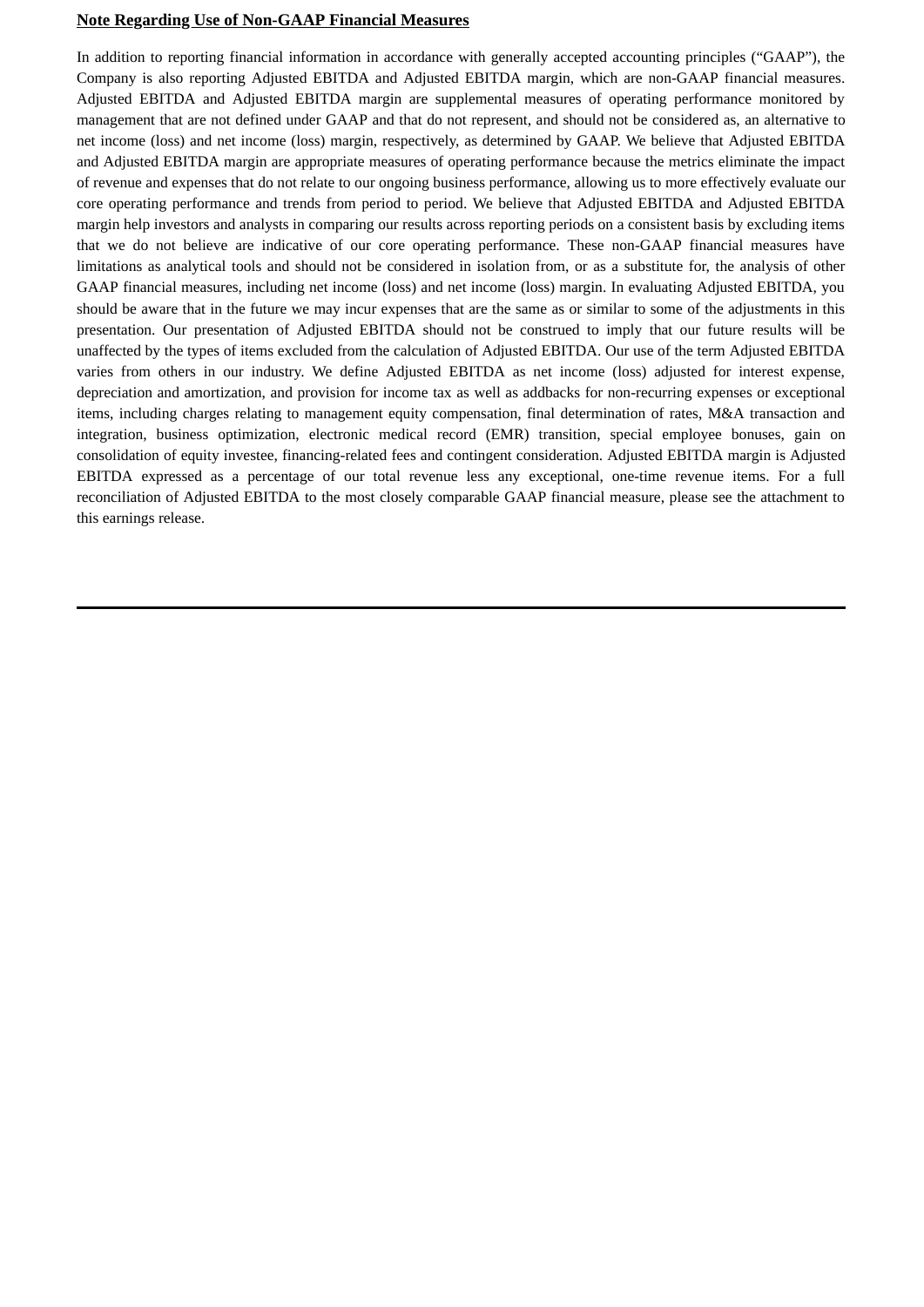#### **Note Regarding Use of Non-GAAP Financial Measures**

In addition to reporting financial information in accordance with generally accepted accounting principles ("GAAP"), the Company is also reporting Adjusted EBITDA and Adjusted EBITDA margin, which are non-GAAP financial measures. Adjusted EBITDA and Adjusted EBITDA margin are supplemental measures of operating performance monitored by management that are not defined under GAAP and that do not represent, and should not be considered as, an alternative to net income (loss) and net income (loss) margin, respectively, as determined by GAAP. We believe that Adjusted EBITDA and Adjusted EBITDA margin are appropriate measures of operating performance because the metrics eliminate the impact of revenue and expenses that do not relate to our ongoing business performance, allowing us to more effectively evaluate our core operating performance and trends from period to period. We believe that Adjusted EBITDA and Adjusted EBITDA margin help investors and analysts in comparing our results across reporting periods on a consistent basis by excluding items that we do not believe are indicative of our core operating performance. These non-GAAP financial measures have limitations as analytical tools and should not be considered in isolation from, or as a substitute for, the analysis of other GAAP financial measures, including net income (loss) and net income (loss) margin. In evaluating Adjusted EBITDA, you should be aware that in the future we may incur expenses that are the same as or similar to some of the adjustments in this presentation. Our presentation of Adjusted EBITDA should not be construed to imply that our future results will be unaffected by the types of items excluded from the calculation of Adjusted EBITDA. Our use of the term Adjusted EBITDA varies from others in our industry. We define Adjusted EBITDA as net income (loss) adjusted for interest expense, depreciation and amortization, and provision for income tax as well as addbacks for non-recurring expenses or exceptional items, including charges relating to management equity compensation, final determination of rates, M&A transaction and integration, business optimization, electronic medical record (EMR) transition, special employee bonuses, gain on consolidation of equity investee, financing-related fees and contingent consideration. Adjusted EBITDA margin is Adjusted EBITDA expressed as a percentage of our total revenue less any exceptional, one-time revenue items. For a full reconciliation of Adjusted EBITDA to the most closely comparable GAAP financial measure, please see the attachment to this earnings release.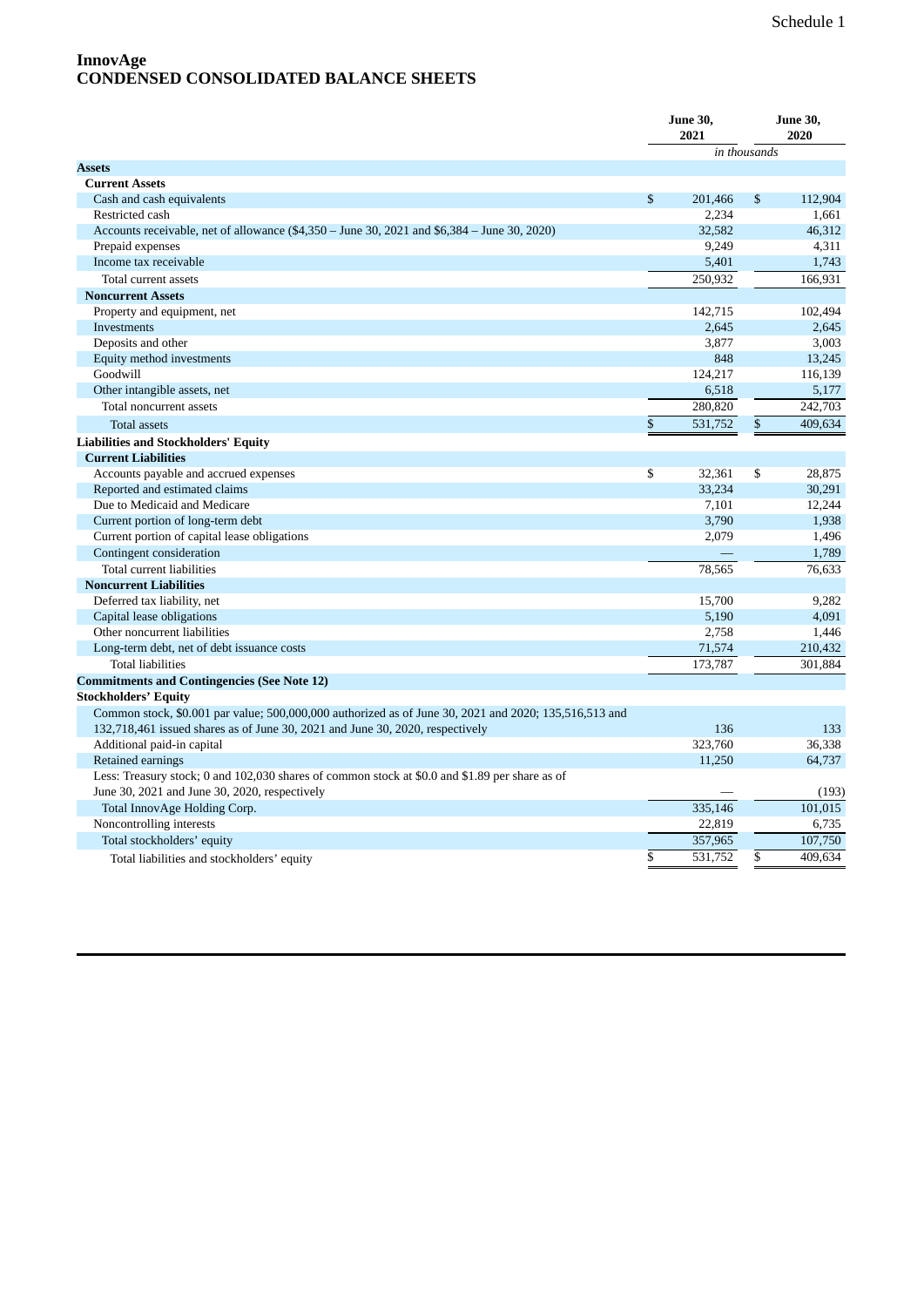### **InnovAge CONDENSED CONSOLIDATED BALANCE SHEETS**

|                                                                                                                                                                                        | <b>June 30,</b><br>2021  |         | <b>June 30,</b><br>2020 |         |
|----------------------------------------------------------------------------------------------------------------------------------------------------------------------------------------|--------------------------|---------|-------------------------|---------|
|                                                                                                                                                                                        |                          |         | in thousands            |         |
| <b>Assets</b>                                                                                                                                                                          |                          |         |                         |         |
| <b>Current Assets</b>                                                                                                                                                                  |                          |         |                         |         |
| Cash and cash equivalents                                                                                                                                                              | $\mathbb{S}$             | 201.466 | $\mathbb{S}$            | 112,904 |
| Restricted cash                                                                                                                                                                        |                          | 2,234   |                         | 1,661   |
| Accounts receivable, net of allowance (\$4,350 – June 30, 2021 and \$6,384 – June 30, 2020)                                                                                            |                          | 32,582  |                         | 46,312  |
| Prepaid expenses                                                                                                                                                                       |                          | 9,249   |                         | 4,311   |
| Income tax receivable                                                                                                                                                                  |                          | 5,401   |                         | 1,743   |
| Total current assets                                                                                                                                                                   |                          | 250,932 |                         | 166,931 |
| <b>Noncurrent Assets</b>                                                                                                                                                               |                          |         |                         |         |
| Property and equipment, net                                                                                                                                                            |                          | 142,715 |                         | 102,494 |
| Investments                                                                                                                                                                            |                          | 2,645   |                         | 2,645   |
| Deposits and other                                                                                                                                                                     |                          | 3,877   |                         | 3,003   |
| Equity method investments                                                                                                                                                              |                          | 848     |                         | 13,245  |
| Goodwill                                                                                                                                                                               |                          | 124,217 |                         | 116,139 |
| Other intangible assets, net                                                                                                                                                           |                          | 6,518   |                         | 5,177   |
| Total noncurrent assets                                                                                                                                                                |                          | 280,820 |                         | 242,703 |
| <b>Total assets</b>                                                                                                                                                                    | $\overline{\mathcal{S}}$ | 531,752 | $\overline{\$}$         | 409,634 |
| <b>Liabilities and Stockholders' Equity</b>                                                                                                                                            |                          |         |                         |         |
| <b>Current Liabilities</b>                                                                                                                                                             |                          |         |                         |         |
| Accounts payable and accrued expenses                                                                                                                                                  | \$                       | 32,361  | \$                      | 28,875  |
| Reported and estimated claims                                                                                                                                                          |                          | 33,234  |                         | 30,291  |
| Due to Medicaid and Medicare                                                                                                                                                           |                          | 7,101   |                         | 12,244  |
| Current portion of long-term debt                                                                                                                                                      |                          | 3,790   |                         | 1,938   |
| Current portion of capital lease obligations                                                                                                                                           |                          | 2,079   |                         | 1,496   |
| Contingent consideration                                                                                                                                                               |                          |         |                         | 1,789   |
| Total current liabilities                                                                                                                                                              |                          | 78,565  |                         | 76,633  |
| <b>Noncurrent Liabilities</b>                                                                                                                                                          |                          |         |                         |         |
| Deferred tax liability, net                                                                                                                                                            |                          | 15,700  |                         | 9,282   |
| Capital lease obligations                                                                                                                                                              |                          | 5,190   |                         | 4,091   |
| Other noncurrent liabilities                                                                                                                                                           |                          | 2,758   |                         | 1,446   |
| Long-term debt, net of debt issuance costs                                                                                                                                             |                          | 71,574  |                         | 210,432 |
| <b>Total liabilities</b>                                                                                                                                                               |                          | 173,787 |                         | 301,884 |
|                                                                                                                                                                                        |                          |         |                         |         |
| <b>Commitments and Contingencies (See Note 12)</b>                                                                                                                                     |                          |         |                         |         |
| <b>Stockholders' Equity</b>                                                                                                                                                            |                          |         |                         |         |
| Common stock, \$0.001 par value; 500,000,000 authorized as of June 30, 2021 and 2020; 135,516,513 and<br>132,718,461 issued shares as of June 30, 2021 and June 30, 2020, respectively |                          | 136     |                         | 133     |
| Additional paid-in capital                                                                                                                                                             |                          | 323,760 |                         | 36,338  |
|                                                                                                                                                                                        |                          | 11.250  |                         | 64,737  |
| Retained earnings<br>Less: Treasury stock; 0 and 102,030 shares of common stock at \$0.0 and \$1.89 per share as of                                                                    |                          |         |                         |         |
|                                                                                                                                                                                        |                          |         |                         |         |
| June 30, 2021 and June 30, 2020, respectively                                                                                                                                          |                          |         |                         | (193)   |
| Total InnovAge Holding Corp.                                                                                                                                                           |                          | 335,146 |                         | 101,015 |
| Noncontrolling interests                                                                                                                                                               |                          | 22,819  |                         | 6,735   |
| Total stockholders' equity                                                                                                                                                             |                          | 357,965 |                         | 107,750 |
| Total liabilities and stockholders' equity                                                                                                                                             | \$                       | 531,752 | \$                      | 409.634 |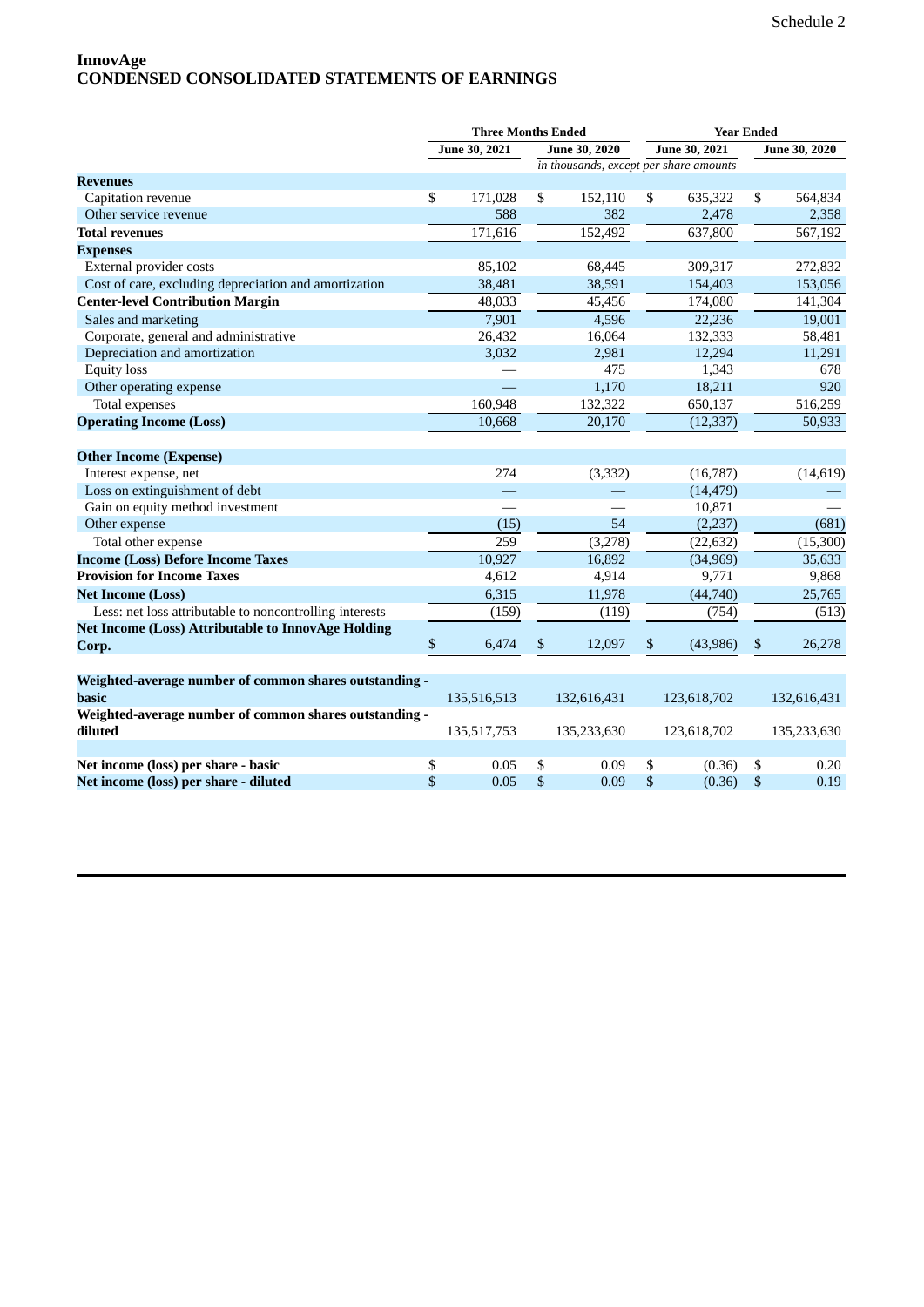# **InnovAge CONDENSED CONSOLIDATED STATEMENTS OF EARNINGS**

| June 30, 2021<br>June 30, 2021<br>June 30, 2020<br><b>June 30, 2020</b><br>in thousands, except per share amounts<br><b>Revenues</b><br>\$<br>171,028<br>\$<br>152,110<br>\$<br>635,322<br>\$<br>Capitation revenue<br>588<br>382<br>2,478<br>Other service revenue<br>171,616<br>152,492<br>637,800<br><b>Total revenues</b> |           |
|-------------------------------------------------------------------------------------------------------------------------------------------------------------------------------------------------------------------------------------------------------------------------------------------------------------------------------|-----------|
|                                                                                                                                                                                                                                                                                                                               |           |
|                                                                                                                                                                                                                                                                                                                               |           |
|                                                                                                                                                                                                                                                                                                                               |           |
|                                                                                                                                                                                                                                                                                                                               | 564,834   |
|                                                                                                                                                                                                                                                                                                                               | 2,358     |
|                                                                                                                                                                                                                                                                                                                               | 567,192   |
| <b>Expenses</b>                                                                                                                                                                                                                                                                                                               |           |
| External provider costs<br>85,102<br>68,445<br>309,317                                                                                                                                                                                                                                                                        | 272,832   |
| Cost of care, excluding depreciation and amortization<br>38,591<br>38,481<br>154,403                                                                                                                                                                                                                                          | 153,056   |
| <b>Center-level Contribution Margin</b><br>48,033<br>45,456<br>174,080                                                                                                                                                                                                                                                        | 141,304   |
| 4,596<br>22,236<br>Sales and marketing<br>7,901                                                                                                                                                                                                                                                                               | 19,001    |
| Corporate, general and administrative<br>26,432<br>16,064<br>132,333                                                                                                                                                                                                                                                          | 58,481    |
| Depreciation and amortization<br>3,032<br>2,981<br>12,294                                                                                                                                                                                                                                                                     | 11,291    |
| 475<br>1,343<br><b>Equity</b> loss                                                                                                                                                                                                                                                                                            | 678       |
| Other operating expense<br>1,170<br>18,211                                                                                                                                                                                                                                                                                    | 920       |
| 160,948<br>132,322<br>Total expenses<br>650,137                                                                                                                                                                                                                                                                               | 516,259   |
| <b>Operating Income (Loss)</b><br>10,668<br>20,170<br>(12, 337)                                                                                                                                                                                                                                                               | 50,933    |
|                                                                                                                                                                                                                                                                                                                               |           |
| <b>Other Income (Expense)</b>                                                                                                                                                                                                                                                                                                 |           |
| 274<br>(3, 332)<br>Interest expense, net<br>(16,787)                                                                                                                                                                                                                                                                          | (14, 619) |
| Loss on extinguishment of debt<br>(14, 479)                                                                                                                                                                                                                                                                                   |           |
| Gain on equity method investment<br>10,871                                                                                                                                                                                                                                                                                    |           |
| Other expense<br>54<br>(15)<br>(2,237)                                                                                                                                                                                                                                                                                        | (681)     |
| 259<br>Total other expense<br>(3,278)<br>(22, 632)                                                                                                                                                                                                                                                                            | (15,300)  |
| 10,927<br>16,892<br><b>Income (Loss) Before Income Taxes</b><br>(34,969)                                                                                                                                                                                                                                                      | 35,633    |
| <b>Provision for Income Taxes</b><br>4,612<br>4,914<br>9,771                                                                                                                                                                                                                                                                  | 9,868     |
| 6,315<br>11,978<br><b>Net Income (Loss)</b><br>(44,740)                                                                                                                                                                                                                                                                       | 25,765    |
| Less: net loss attributable to noncontrolling interests<br>(159)<br>(119)<br>(754)                                                                                                                                                                                                                                            | (513)     |
| <b>Net Income (Loss) Attributable to InnovAge Holding</b>                                                                                                                                                                                                                                                                     |           |
| \$<br>6,474<br>\$<br>12,097<br>\$<br>(43,986)<br>\$<br>Corp.                                                                                                                                                                                                                                                                  | 26,278    |
|                                                                                                                                                                                                                                                                                                                               |           |
| Weighted-average number of common shares outstanding -                                                                                                                                                                                                                                                                        |           |
| basic<br>135,516,513<br>132,616,431<br>123,618,702<br>132,616,431                                                                                                                                                                                                                                                             |           |
| Weighted-average number of common shares outstanding -                                                                                                                                                                                                                                                                        |           |
| diluted<br>135,517,753<br>135,233,630<br>123,618,702<br>135,233,630                                                                                                                                                                                                                                                           |           |
|                                                                                                                                                                                                                                                                                                                               |           |
| Net income (loss) per share - basic<br>\$<br>0.05<br>\$<br>0.09<br>\$<br>(0.36)<br>\$                                                                                                                                                                                                                                         | 0.20      |
| \$<br>\$<br>\$<br>\$<br>Net income (loss) per share - diluted<br>0.05<br>0.09<br>(0.36)                                                                                                                                                                                                                                       | 0.19      |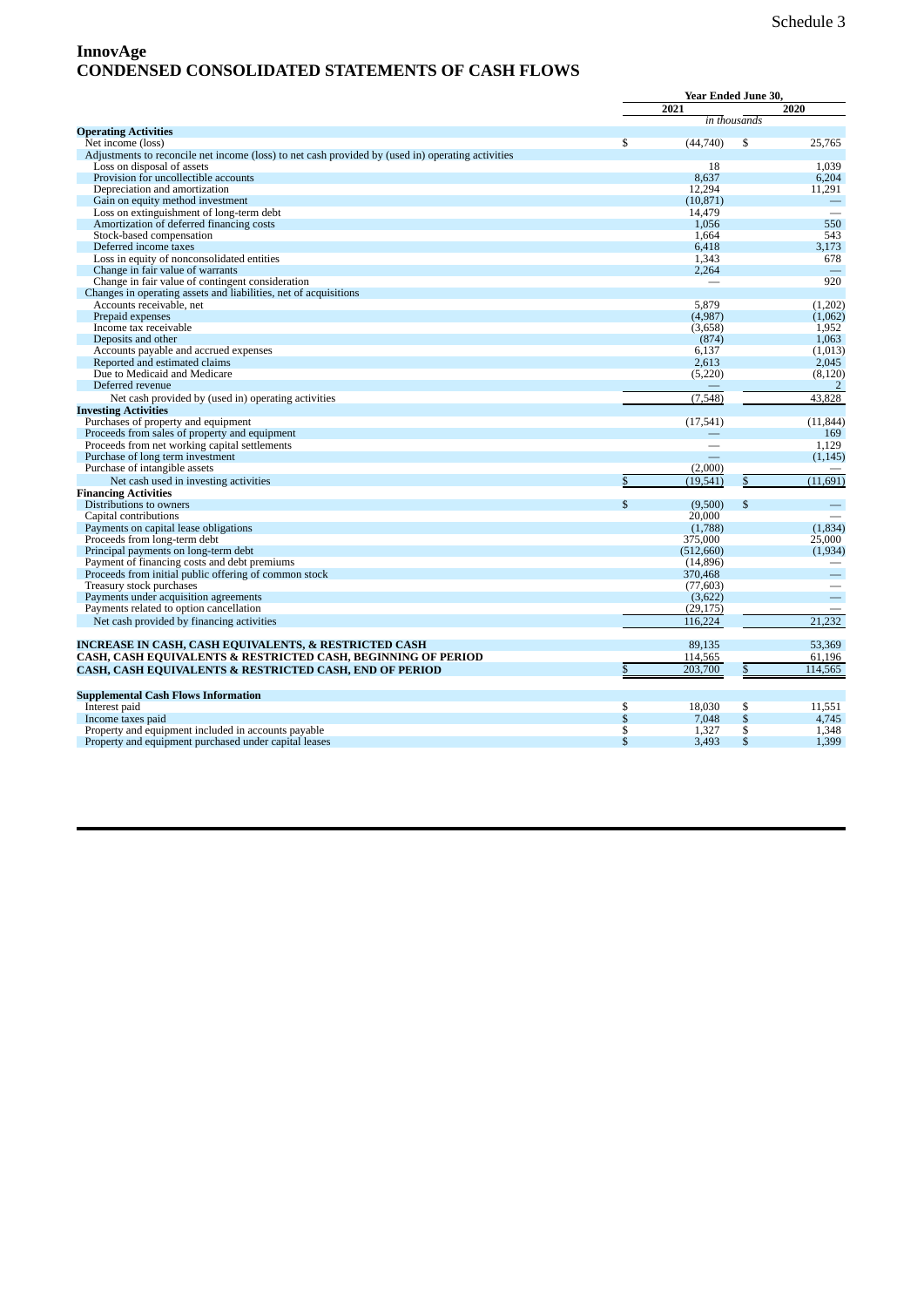# **InnovAge CONDENSED CONSOLIDATED STATEMENTS OF CASH FLOWS**

|                                                                                                   |                 | Year Ended June 30,  |              |                          |  |
|---------------------------------------------------------------------------------------------------|-----------------|----------------------|--------------|--------------------------|--|
|                                                                                                   |                 | 2021                 |              | 2020                     |  |
|                                                                                                   |                 |                      | in thousands |                          |  |
| <b>Operating Activities</b>                                                                       |                 |                      |              |                          |  |
| Net income (loss)                                                                                 | \$              | (44,740)             | \$           | 25,765                   |  |
| Adjustments to reconcile net income (loss) to net cash provided by (used in) operating activities |                 |                      |              |                          |  |
| Loss on disposal of assets                                                                        |                 | 18                   |              | 1.039                    |  |
| Provision for uncollectible accounts                                                              |                 | 8,637                |              | 6,204                    |  |
| Depreciation and amortization                                                                     |                 | 12.294               |              | 11,291                   |  |
| Gain on equity method investment                                                                  |                 | (10, 871)            |              | $\overline{\phantom{m}}$ |  |
| Loss on extinguishment of long-term debt                                                          |                 | 14,479               |              |                          |  |
| Amortization of deferred financing costs                                                          |                 | 1,056                |              | 550                      |  |
| Stock-based compensation                                                                          |                 | 1,664                |              | 543                      |  |
| Deferred income taxes                                                                             |                 | 6.418                |              | 3.173                    |  |
| Loss in equity of nonconsolidated entities                                                        |                 | 1,343                |              | 678                      |  |
| Change in fair value of warrants                                                                  |                 | 2,264                |              |                          |  |
| Change in fair value of contingent consideration                                                  |                 |                      |              | 920                      |  |
| Changes in operating assets and liabilities, net of acquisitions                                  |                 |                      |              |                          |  |
| Accounts receivable, net                                                                          |                 | 5,879                |              | (1,202)                  |  |
| Prepaid expenses                                                                                  |                 | (4,987)              |              | (1,062)                  |  |
| Income tax receivable                                                                             |                 | (3,658)              |              | 1,952                    |  |
| Deposits and other                                                                                |                 | (874)                |              | 1,063                    |  |
| Accounts payable and accrued expenses                                                             |                 | 6.137                |              | (1,013)                  |  |
| Reported and estimated claims                                                                     |                 | 2,613                |              | 2,045                    |  |
| Due to Medicaid and Medicare                                                                      |                 | (5,220)              |              | (8, 120)                 |  |
| Deferred revenue                                                                                  |                 |                      |              | $\overline{2}$           |  |
| Net cash provided by (used in) operating activities                                               |                 | (7,548)              |              | 43.828                   |  |
| <b>Investing Activities</b>                                                                       |                 |                      |              |                          |  |
| Purchases of property and equipment                                                               |                 | (17, 541)            |              | (11, 844)                |  |
| Proceeds from sales of property and equipment                                                     |                 |                      |              | 169                      |  |
| Proceeds from net working capital settlements                                                     |                 |                      |              | 1.129                    |  |
| Purchase of long term investment                                                                  |                 |                      |              | (1, 145)                 |  |
| Purchase of intangible assets                                                                     |                 | (2,000)              |              |                          |  |
| Net cash used in investing activities                                                             | $\mathbb{S}$    | (19, 541)            | \$           | (11.691)                 |  |
| <b>Financing Activities</b>                                                                       |                 |                      |              |                          |  |
| Distributions to owners                                                                           | $\mathbb{S}$    | (9,500)              | \$           |                          |  |
| Capital contributions                                                                             |                 | 20,000               |              |                          |  |
| Payments on capital lease obligations                                                             |                 | (1,788)              |              | (1.834)                  |  |
| Proceeds from long-term debt                                                                      |                 | 375,000              |              | 25,000                   |  |
| Principal payments on long-term debt                                                              |                 | (512,660)            |              | (1,934)                  |  |
| Payment of financing costs and debt premiums                                                      |                 | (14,896)             |              |                          |  |
| Proceeds from initial public offering of common stock                                             |                 | 370,468              |              | $\equiv$                 |  |
| Treasury stock purchases                                                                          |                 | (77, 603)            |              |                          |  |
|                                                                                                   |                 |                      |              |                          |  |
| Payments under acquisition agreements                                                             |                 | (3,622)<br>(29, 175) |              |                          |  |
| Payments related to option cancellation                                                           |                 |                      |              |                          |  |
| Net cash provided by financing activities                                                         |                 | 116,224              |              | 21,232                   |  |
| INCREASE IN CASH, CASH EQUIVALENTS, & RESTRICTED CASH                                             |                 | 89.135               |              | 53,369                   |  |
| <b>CASH, CASH EQUIVALENTS &amp; RESTRICTED CASH, BEGINNING OF PERIOD</b>                          |                 | 114,565              |              | 61,196                   |  |
| <b>CASH, CASH EQUIVALENTS &amp; RESTRICTED CASH, END OF PERIOD</b>                                | $\overline{\$}$ | 203,700              | \$           | 114.565                  |  |
|                                                                                                   |                 |                      |              |                          |  |
| <b>Supplemental Cash Flows Information</b>                                                        |                 |                      |              |                          |  |
| Interest paid                                                                                     | \$              | 18.030               | \$           | 11.551                   |  |
| Income taxes paid                                                                                 | \$              | 7,048                | \$           | 4,745                    |  |
| Property and equipment included in accounts payable                                               | \$              | 1,327                | \$           | 1,348                    |  |
| Property and equipment purchased under capital leases                                             | \$              | 3,493                | \$           | 1,399                    |  |